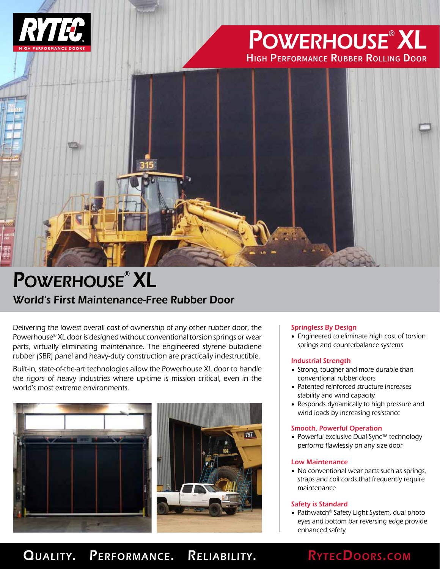

# Powerhouse® XL **High Performance Rubber Rolling Door**



# World's First Maintenance-Free Rubber Door POWERHOUSE<sup>®</sup> XL

Delivering the lowest overall cost of ownership of any other rubber door, the Powerhouse® XL door is designed without conventional torsion springs or wear parts, virtually eliminating maintenance. The engineered styrene butadiene rubber (SBR) panel and heavy-duty construction are practically indestructible.

Built-in, state-of-the-art technologies allow the Powerhouse XL door to handle the rigors of heavy industries where up-time is mission critical, even in the world's most extreme environments.



## Springless By Design

• Engineered to eliminate high cost of torsion springs and counterbalance systems

## Industrial Strength

- Strong, tougher and more durable than conventional rubber doors
- Patented reinforced structure increases stability and wind capacity
- Responds dynamically to high pressure and wind loads by increasing resistance

## Smooth, Powerful Operation

• Powerful exclusive Dual-Sync™ technology performs flawlessly on any size door

## Low Maintenance

• No conventional wear parts such as springs, straps and coil cords that frequently require maintenance

## Safety is Standard

• Pathwatch® Safety Light System, dual photo eyes and bottom bar reversing edge provide enhanced safety

## QUALITY. PERFORMANCE. RELIABILITY. RYTECDOORS.COM